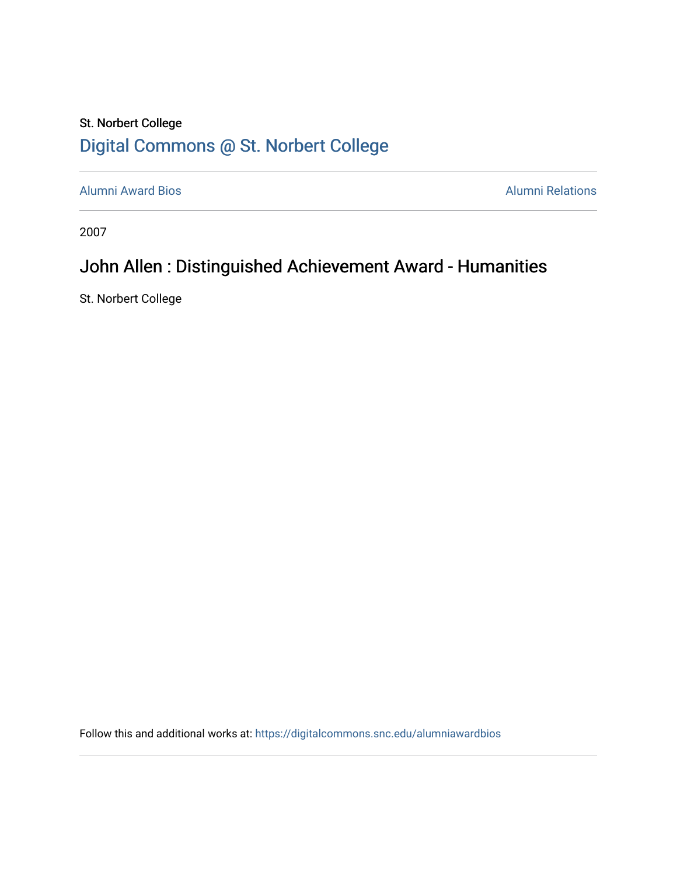## St. Norbert College [Digital Commons @ St. Norbert College](https://digitalcommons.snc.edu/)

[Alumni Award Bios](https://digitalcommons.snc.edu/alumniawardbios) **Alumni Relations** Alumni Relations

2007

## John Allen : Distinguished Achievement Award - Humanities

St. Norbert College

Follow this and additional works at: [https://digitalcommons.snc.edu/alumniawardbios](https://digitalcommons.snc.edu/alumniawardbios?utm_source=digitalcommons.snc.edu%2Falumniawardbios%2F42&utm_medium=PDF&utm_campaign=PDFCoverPages)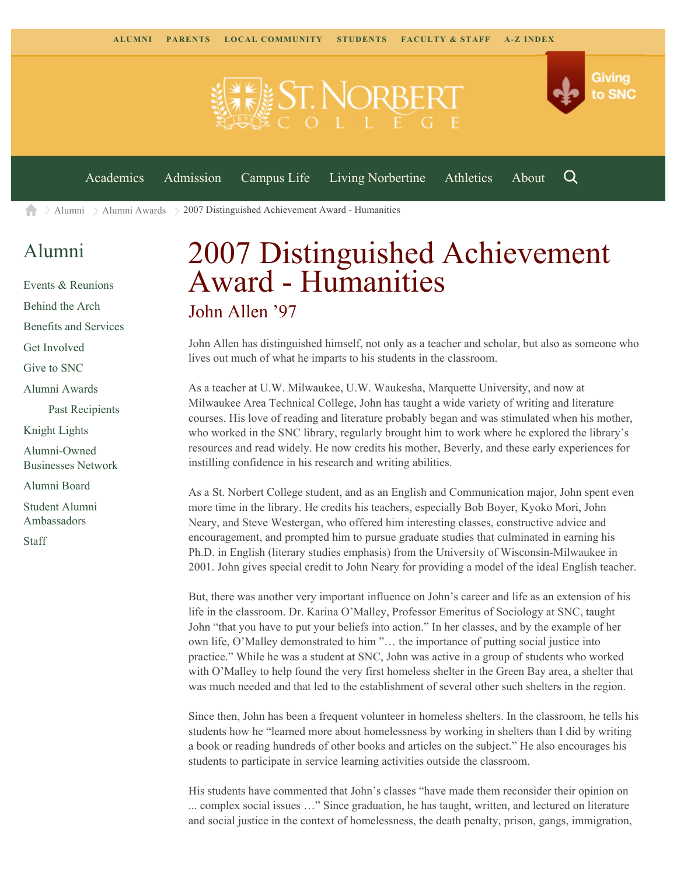

 $\geq$  [Alumni](https://www.snc.edu/alumni/)  $\geq$  [Alumni Awards](https://www.snc.edu/alumni/awards/)  $\geq$  2007 Distinguished Achievement Award - Humanities A

## [Alumni](https://www.snc.edu/alumni/index.html)

[Events & Reunions](https://www.snc.edu/alumni/event/index.html) [Behind the Arch](https://www.snc.edu/alumni/event/behindthearch/) [Benefits and Services](https://www.snc.edu/alumni/benefits.html) [Get Involved](https://www.snc.edu/alumni/getinvolved.html) [Give to SNC](http://giving.snc.edu/) [Alumni Awards](https://www.snc.edu/alumni/awards/index.html) [Past Recipients](https://www.snc.edu/alumni/awards/recipients.html) [Knight Lights](https://www.snc.edu/alumni/knightlights/index.html) [Alumni-Owned](https://www.snc.edu/alumni/directory/index.html) [Businesses Network](https://www.snc.edu/alumni/directory/index.html) [Alumni Board](https://www.snc.edu/alumni/alumniboard.html) [Student Alumni](https://www.snc.edu/alumni/saa.html) [Ambassadors](https://www.snc.edu/alumni/saa.html) [Staff](https://www.snc.edu/alumni/contactus.html)

## 2007 Distinguished Achievement Award - Humanities John Allen '97

John Allen has distinguished himself, not only as a teacher and scholar, but also as someone who lives out much of what he imparts to his students in the classroom.

As a teacher at U.W. Milwaukee, U.W. Waukesha, Marquette University, and now at Milwaukee Area Technical College, John has taught a wide variety of writing and literature courses. His love of reading and literature probably began and was stimulated when his mother, who worked in the SNC library, regularly brought him to work where he explored the library's resources and read widely. He now credits his mother, Beverly, and these early experiences for instilling confidence in his research and writing abilities.

As a St. Norbert College student, and as an English and Communication major, John spent even more time in the library. He credits his teachers, especially Bob Boyer, Kyoko Mori, John Neary, and Steve Westergan, who offered him interesting classes, constructive advice and encouragement, and prompted him to pursue graduate studies that culminated in earning his Ph.D. in English (literary studies emphasis) from the University of Wisconsin-Milwaukee in 2001. John gives special credit to John Neary for providing a model of the ideal English teacher.

But, there was another very important influence on John's career and life as an extension of his life in the classroom. Dr. Karina O'Malley, Professor Emeritus of Sociology at SNC, taught John "that you have to put your beliefs into action." In her classes, and by the example of her own life, O'Malley demonstrated to him "… the importance of putting social justice into practice." While he was a student at SNC, John was active in a group of students who worked with O'Malley to help found the very first homeless shelter in the Green Bay area, a shelter that was much needed and that led to the establishment of several other such shelters in the region.

Since then, John has been a frequent volunteer in homeless shelters. In the classroom, he tells his students how he "learned more about homelessness by working in shelters than I did by writing a book or reading hundreds of other books and articles on the subject." He also encourages his students to participate in service learning activities outside the classroom.

His students have commented that John's classes "have made them reconsider their opinion on ... complex social issues …" Since graduation, he has taught, written, and lectured on literature and social justice in the context of homelessness, the death penalty, prison, gangs, immigration,